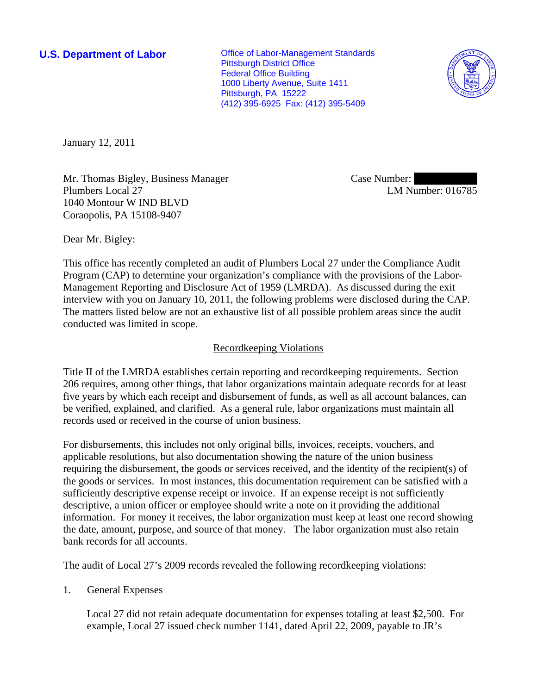**U.S. Department of Labor Conservative Conservative Conservative Conservative Conservative Conservative Conservative Conservative Conservative Conservative Conservative Conservative Conservative Conservative Conservative** Pittsburgh District Office Federal Office Building 1000 Liberty Avenue, Suite 1411 Pittsburgh, PA 15222 (412) 395-6925 Fax: (412) 395-5409



January 12, 2011

Mr. Thomas Bigley, Business Manager Plumbers Local 27 1040 Montour W IND BLVD Coraopolis, PA 15108-9407

Case Number: LM Number: 016785

Dear Mr. Bigley:

This office has recently completed an audit of Plumbers Local 27 under the Compliance Audit Program (CAP) to determine your organization's compliance with the provisions of the Labor-Management Reporting and Disclosure Act of 1959 (LMRDA). As discussed during the exit interview with you on January 10, 2011, the following problems were disclosed during the CAP. The matters listed below are not an exhaustive list of all possible problem areas since the audit conducted was limited in scope.

## Recordkeeping Violations

Title II of the LMRDA establishes certain reporting and recordkeeping requirements. Section 206 requires, among other things, that labor organizations maintain adequate records for at least five years by which each receipt and disbursement of funds, as well as all account balances, can be verified, explained, and clarified. As a general rule, labor organizations must maintain all records used or received in the course of union business.

For disbursements, this includes not only original bills, invoices, receipts, vouchers, and applicable resolutions, but also documentation showing the nature of the union business requiring the disbursement, the goods or services received, and the identity of the recipient(s) of the goods or services. In most instances, this documentation requirement can be satisfied with a sufficiently descriptive expense receipt or invoice. If an expense receipt is not sufficiently descriptive, a union officer or employee should write a note on it providing the additional information. For money it receives, the labor organization must keep at least one record showing the date, amount, purpose, and source of that money. The labor organization must also retain bank records for all accounts.

The audit of Local 27's 2009 records revealed the following recordkeeping violations:

## 1. General Expenses

Local 27 did not retain adequate documentation for expenses totaling at least \$2,500. For example, Local 27 issued check number 1141, dated April 22, 2009, payable to JR's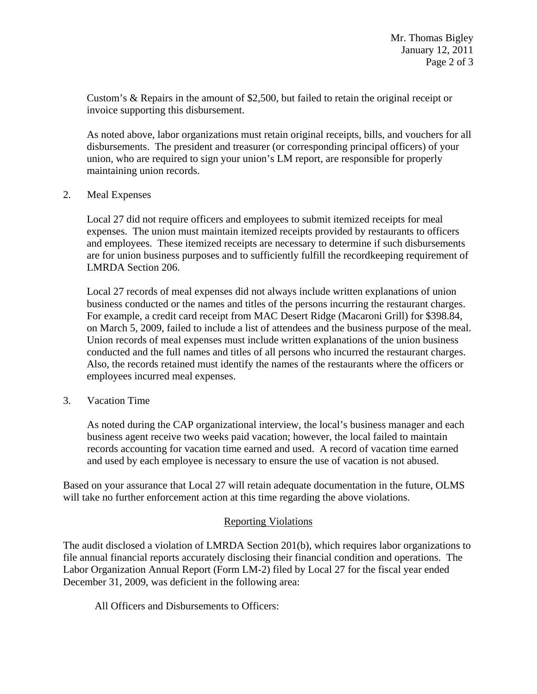Custom's & Repairs in the amount of \$2,500, but failed to retain the original receipt or invoice supporting this disbursement.

As noted above, labor organizations must retain original receipts, bills, and vouchers for all disbursements. The president and treasurer (or corresponding principal officers) of your union, who are required to sign your union's LM report, are responsible for properly maintaining union records.

2. Meal Expenses

Local 27 did not require officers and employees to submit itemized receipts for meal expenses. The union must maintain itemized receipts provided by restaurants to officers and employees. These itemized receipts are necessary to determine if such disbursements are for union business purposes and to sufficiently fulfill the recordkeeping requirement of LMRDA Section 206.

Local 27 records of meal expenses did not always include written explanations of union business conducted or the names and titles of the persons incurring the restaurant charges. For example, a credit card receipt from MAC Desert Ridge (Macaroni Grill) for \$398.84, on March 5, 2009, failed to include a list of attendees and the business purpose of the meal. Union records of meal expenses must include written explanations of the union business conducted and the full names and titles of all persons who incurred the restaurant charges. Also, the records retained must identify the names of the restaurants where the officers or employees incurred meal expenses.

3. Vacation Time

As noted during the CAP organizational interview, the local's business manager and each business agent receive two weeks paid vacation; however, the local failed to maintain records accounting for vacation time earned and used. A record of vacation time earned and used by each employee is necessary to ensure the use of vacation is not abused.

Based on your assurance that Local 27 will retain adequate documentation in the future, OLMS will take no further enforcement action at this time regarding the above violations.

## Reporting Violations

The audit disclosed a violation of LMRDA Section 201(b), which requires labor organizations to file annual financial reports accurately disclosing their financial condition and operations. The Labor Organization Annual Report (Form LM-2) filed by Local 27 for the fiscal year ended December 31, 2009, was deficient in the following area:

All Officers and Disbursements to Officers: